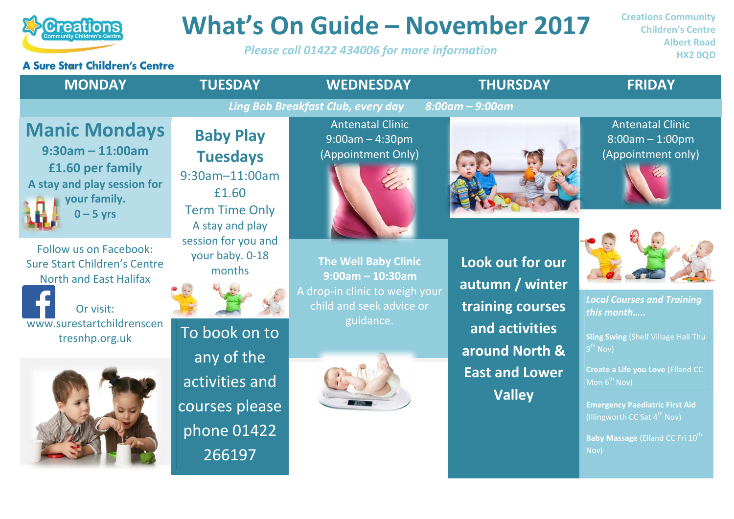

## **What's On Guide – November 2017**

*Please call 01422 434006 for more information*

**Creations Community Children's Centre Albert Road HX2 0QD**

**A Sure Start Children's Centre** 

| <b>MONDAY</b>                                                                                                                                              | <b>TUESDAY</b>                                                                                                                               | <b>WEDNESDAY</b>                                                                                                             | <b>THURSDAY</b>                                                                                                                       | <b>FRIDAY</b>                                                                                                                                                                                                                                                                                                         |  |  |
|------------------------------------------------------------------------------------------------------------------------------------------------------------|----------------------------------------------------------------------------------------------------------------------------------------------|------------------------------------------------------------------------------------------------------------------------------|---------------------------------------------------------------------------------------------------------------------------------------|-----------------------------------------------------------------------------------------------------------------------------------------------------------------------------------------------------------------------------------------------------------------------------------------------------------------------|--|--|
| Ling Bob Breakfast Club, every day<br>$8:00$ am - $9:00$ am                                                                                                |                                                                                                                                              |                                                                                                                              |                                                                                                                                       |                                                                                                                                                                                                                                                                                                                       |  |  |
| <b>Manic Mondays</b><br>$9:30$ am - 11:00am<br>£1.60 per family<br>A stay and play session for<br>your family.<br>$0 - 5$ yrs                              | <b>Baby Play</b><br><b>Tuesdays</b><br>9:30am-11:00am<br>£1.60<br><b>Term Time Only</b><br>A stay and play                                   | <b>Antenatal Clinic</b><br>$9:00am - 4:30pm$<br>(Appointment Only)                                                           |                                                                                                                                       | <b>Antenatal Clinic</b><br>$8:00am - 1:00pm$<br>(Appointment only)                                                                                                                                                                                                                                                    |  |  |
| Follow us on Facebook:<br><b>Sure Start Children's Centre</b><br><b>North and East Halifax</b><br>Or visit:<br>www.surestartchildrenscen<br>tresnhp.org.uk | session for you and<br>your baby. 0-18<br>months<br>To book on to<br>any of the<br>activities and<br>courses please<br>phone 01422<br>266197 | <b>The Well Baby Clinic</b><br>$9:00am - 10:30am$<br>A drop-in clinic to weigh your<br>child and seek advice or<br>guidance. | Look out for our<br>autumn / winter<br>training courses<br>and activities<br>around North &<br><b>East and Lower</b><br><b>Valley</b> | <b>Local Courses and Training</b><br>this month<br><b>Sling Swing (Shelf Village Hall Thu</b><br>$9^{th}$ Nov)<br>Create a Life you Love (Elland CC<br>Mon $6^{th}$ Nov)<br><b>Emergency Paediatric First Aid</b><br>(Illingworth CC Sat 4 <sup>th</sup> Nov)<br>Baby Massage (Elland CC Fri 10 <sup>th</sup><br>Nov) |  |  |